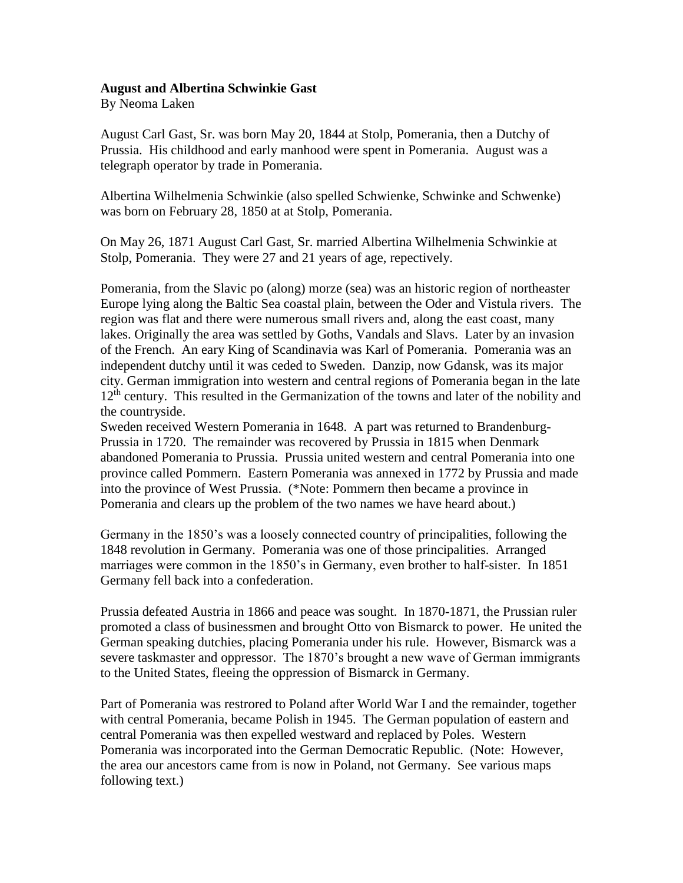## **August and Albertina Schwinkie Gast**

By Neoma Laken

August Carl Gast, Sr. was born May 20, 1844 at Stolp, Pomerania, then a Dutchy of Prussia. His childhood and early manhood were spent in Pomerania. August was a telegraph operator by trade in Pomerania.

Albertina Wilhelmenia Schwinkie (also spelled Schwienke, Schwinke and Schwenke) was born on February 28, 1850 at at Stolp, Pomerania.

On May 26, 1871 August Carl Gast, Sr. married Albertina Wilhelmenia Schwinkie at Stolp, Pomerania. They were 27 and 21 years of age, repectively.

Pomerania, from the Slavic po (along) morze (sea) was an historic region of northeaster Europe lying along the Baltic Sea coastal plain, between the Oder and Vistula rivers. The region was flat and there were numerous small rivers and, along the east coast, many lakes. Originally the area was settled by Goths, Vandals and Slavs. Later by an invasion of the French. An eary King of Scandinavia was Karl of Pomerania. Pomerania was an independent dutchy until it was ceded to Sweden. Danzip, now Gdansk, was its major city. German immigration into western and central regions of Pomerania began in the late  $12<sup>th</sup>$  century. This resulted in the Germanization of the towns and later of the nobility and the countryside.

Sweden received Western Pomerania in 1648. A part was returned to Brandenburg-Prussia in 1720. The remainder was recovered by Prussia in 1815 when Denmark abandoned Pomerania to Prussia. Prussia united western and central Pomerania into one province called Pommern. Eastern Pomerania was annexed in 1772 by Prussia and made into the province of West Prussia. (\*Note: Pommern then became a province in Pomerania and clears up the problem of the two names we have heard about.)

Germany in the 1850's was a loosely connected country of principalities, following the 1848 revolution in Germany. Pomerania was one of those principalities. Arranged marriages were common in the 1850's in Germany, even brother to half-sister. In 1851 Germany fell back into a confederation.

Prussia defeated Austria in 1866 and peace was sought. In 1870-1871, the Prussian ruler promoted a class of businessmen and brought Otto von Bismarck to power. He united the German speaking dutchies, placing Pomerania under his rule. However, Bismarck was a severe taskmaster and oppressor. The 1870's brought a new wave of German immigrants to the United States, fleeing the oppression of Bismarck in Germany.

Part of Pomerania was restrored to Poland after World War I and the remainder, together with central Pomerania, became Polish in 1945. The German population of eastern and central Pomerania was then expelled westward and replaced by Poles. Western Pomerania was incorporated into the German Democratic Republic. (Note: However, the area our ancestors came from is now in Poland, not Germany. See various maps following text.)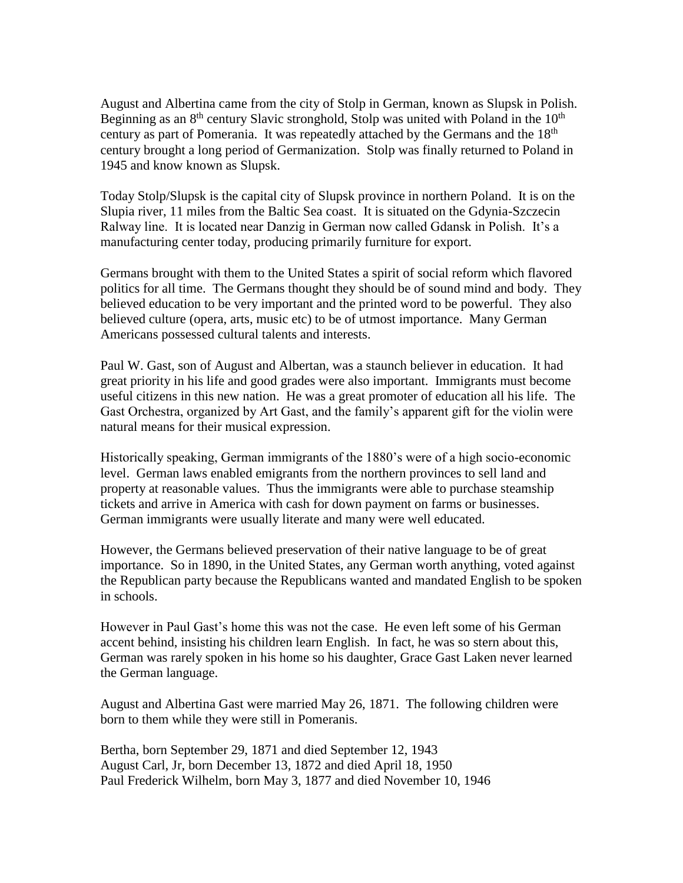August and Albertina came from the city of Stolp in German, known as Slupsk in Polish. Beginning as an  $8<sup>th</sup>$  century Slavic stronghold, Stolp was united with Poland in the  $10<sup>th</sup>$ century as part of Pomerania. It was repeatedly attached by the Germans and the 18<sup>th</sup> century brought a long period of Germanization. Stolp was finally returned to Poland in 1945 and know known as Slupsk.

Today Stolp/Slupsk is the capital city of Slupsk province in northern Poland. It is on the Slupia river, 11 miles from the Baltic Sea coast. It is situated on the Gdynia-Szczecin Ralway line. It is located near Danzig in German now called Gdansk in Polish. It's a manufacturing center today, producing primarily furniture for export.

Germans brought with them to the United States a spirit of social reform which flavored politics for all time. The Germans thought they should be of sound mind and body. They believed education to be very important and the printed word to be powerful. They also believed culture (opera, arts, music etc) to be of utmost importance. Many German Americans possessed cultural talents and interests.

Paul W. Gast, son of August and Albertan, was a staunch believer in education. It had great priority in his life and good grades were also important. Immigrants must become useful citizens in this new nation. He was a great promoter of education all his life. The Gast Orchestra, organized by Art Gast, and the family's apparent gift for the violin were natural means for their musical expression.

Historically speaking, German immigrants of the 1880's were of a high socio-economic level. German laws enabled emigrants from the northern provinces to sell land and property at reasonable values. Thus the immigrants were able to purchase steamship tickets and arrive in America with cash for down payment on farms or businesses. German immigrants were usually literate and many were well educated.

However, the Germans believed preservation of their native language to be of great importance. So in 1890, in the United States, any German worth anything, voted against the Republican party because the Republicans wanted and mandated English to be spoken in schools.

However in Paul Gast's home this was not the case. He even left some of his German accent behind, insisting his children learn English. In fact, he was so stern about this, German was rarely spoken in his home so his daughter, Grace Gast Laken never learned the German language.

August and Albertina Gast were married May 26, 1871. The following children were born to them while they were still in Pomeranis.

Bertha, born September 29, 1871 and died September 12, 1943 August Carl, Jr, born December 13, 1872 and died April 18, 1950 Paul Frederick Wilhelm, born May 3, 1877 and died November 10, 1946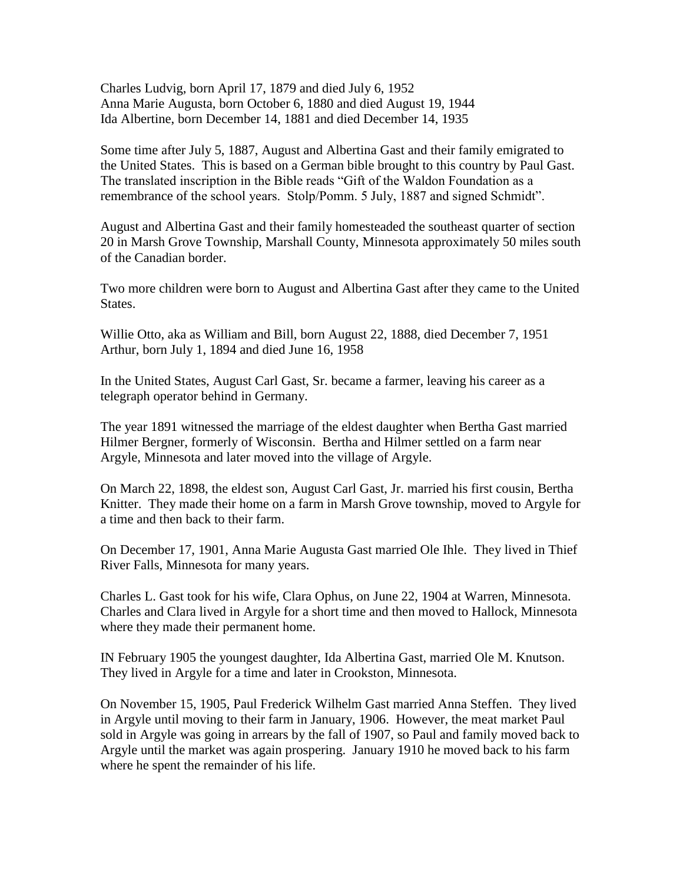Charles Ludvig, born April 17, 1879 and died July 6, 1952 Anna Marie Augusta, born October 6, 1880 and died August 19, 1944 Ida Albertine, born December 14, 1881 and died December 14, 1935

Some time after July 5, 1887, August and Albertina Gast and their family emigrated to the United States. This is based on a German bible brought to this country by Paul Gast. The translated inscription in the Bible reads "Gift of the Waldon Foundation as a remembrance of the school years. Stolp/Pomm. 5 July, 1887 and signed Schmidt".

August and Albertina Gast and their family homesteaded the southeast quarter of section 20 in Marsh Grove Township, Marshall County, Minnesota approximately 50 miles south of the Canadian border.

Two more children were born to August and Albertina Gast after they came to the United States.

Willie Otto, aka as William and Bill, born August 22, 1888, died December 7, 1951 Arthur, born July 1, 1894 and died June 16, 1958

In the United States, August Carl Gast, Sr. became a farmer, leaving his career as a telegraph operator behind in Germany.

The year 1891 witnessed the marriage of the eldest daughter when Bertha Gast married Hilmer Bergner, formerly of Wisconsin. Bertha and Hilmer settled on a farm near Argyle, Minnesota and later moved into the village of Argyle.

On March 22, 1898, the eldest son, August Carl Gast, Jr. married his first cousin, Bertha Knitter. They made their home on a farm in Marsh Grove township, moved to Argyle for a time and then back to their farm.

On December 17, 1901, Anna Marie Augusta Gast married Ole Ihle. They lived in Thief River Falls, Minnesota for many years.

Charles L. Gast took for his wife, Clara Ophus, on June 22, 1904 at Warren, Minnesota. Charles and Clara lived in Argyle for a short time and then moved to Hallock, Minnesota where they made their permanent home.

IN February 1905 the youngest daughter, Ida Albertina Gast, married Ole M. Knutson. They lived in Argyle for a time and later in Crookston, Minnesota.

On November 15, 1905, Paul Frederick Wilhelm Gast married Anna Steffen. They lived in Argyle until moving to their farm in January, 1906. However, the meat market Paul sold in Argyle was going in arrears by the fall of 1907, so Paul and family moved back to Argyle until the market was again prospering. January 1910 he moved back to his farm where he spent the remainder of his life.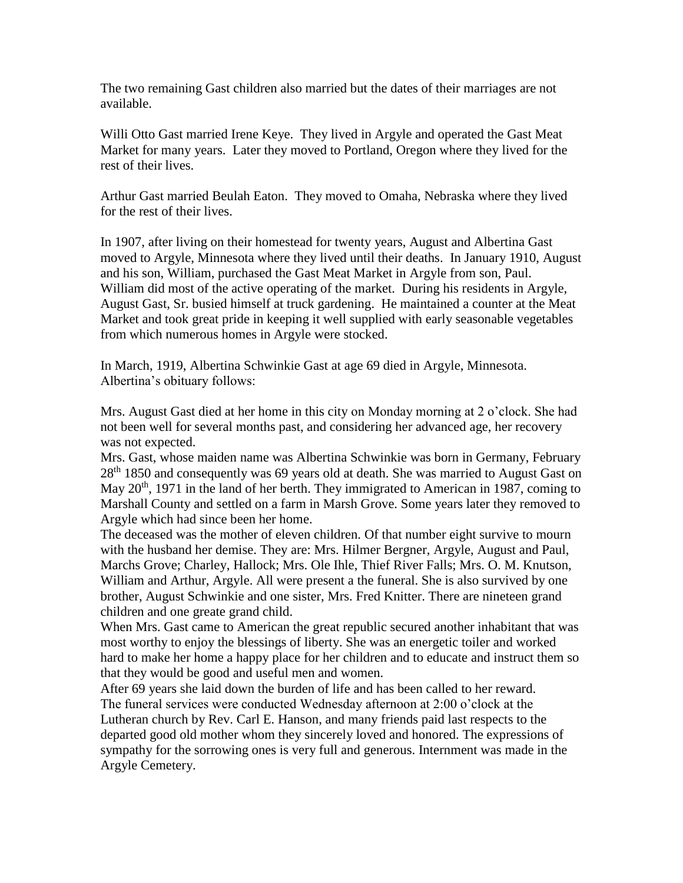The two remaining Gast children also married but the dates of their marriages are not available.

Willi Otto Gast married Irene Keye. They lived in Argyle and operated the Gast Meat Market for many years. Later they moved to Portland, Oregon where they lived for the rest of their lives.

Arthur Gast married Beulah Eaton. They moved to Omaha, Nebraska where they lived for the rest of their lives.

In 1907, after living on their homestead for twenty years, August and Albertina Gast moved to Argyle, Minnesota where they lived until their deaths. In January 1910, August and his son, William, purchased the Gast Meat Market in Argyle from son, Paul. William did most of the active operating of the market. During his residents in Argyle, August Gast, Sr. busied himself at truck gardening. He maintained a counter at the Meat Market and took great pride in keeping it well supplied with early seasonable vegetables from which numerous homes in Argyle were stocked.

In March, 1919, Albertina Schwinkie Gast at age 69 died in Argyle, Minnesota. Albertina's obituary follows:

Mrs. August Gast died at her home in this city on Monday morning at 2 o'clock. She had not been well for several months past, and considering her advanced age, her recovery was not expected.

Mrs. Gast, whose maiden name was Albertina Schwinkie was born in Germany, February 28<sup>th</sup> 1850 and consequently was 69 years old at death. She was married to August Gast on May 20<sup>th</sup>, 1971 in the land of her berth. They immigrated to American in 1987, coming to Marshall County and settled on a farm in Marsh Grove. Some years later they removed to Argyle which had since been her home.

The deceased was the mother of eleven children. Of that number eight survive to mourn with the husband her demise. They are: Mrs. Hilmer Bergner, Argyle, August and Paul, Marchs Grove; Charley, Hallock; Mrs. Ole Ihle, Thief River Falls; Mrs. O. M. Knutson, William and Arthur, Argyle. All were present a the funeral. She is also survived by one brother, August Schwinkie and one sister, Mrs. Fred Knitter. There are nineteen grand children and one greate grand child.

When Mrs. Gast came to American the great republic secured another inhabitant that was most worthy to enjoy the blessings of liberty. She was an energetic toiler and worked hard to make her home a happy place for her children and to educate and instruct them so that they would be good and useful men and women.

After 69 years she laid down the burden of life and has been called to her reward. The funeral services were conducted Wednesday afternoon at 2:00 o'clock at the Lutheran church by Rev. Carl E. Hanson, and many friends paid last respects to the departed good old mother whom they sincerely loved and honored. The expressions of sympathy for the sorrowing ones is very full and generous. Internment was made in the Argyle Cemetery.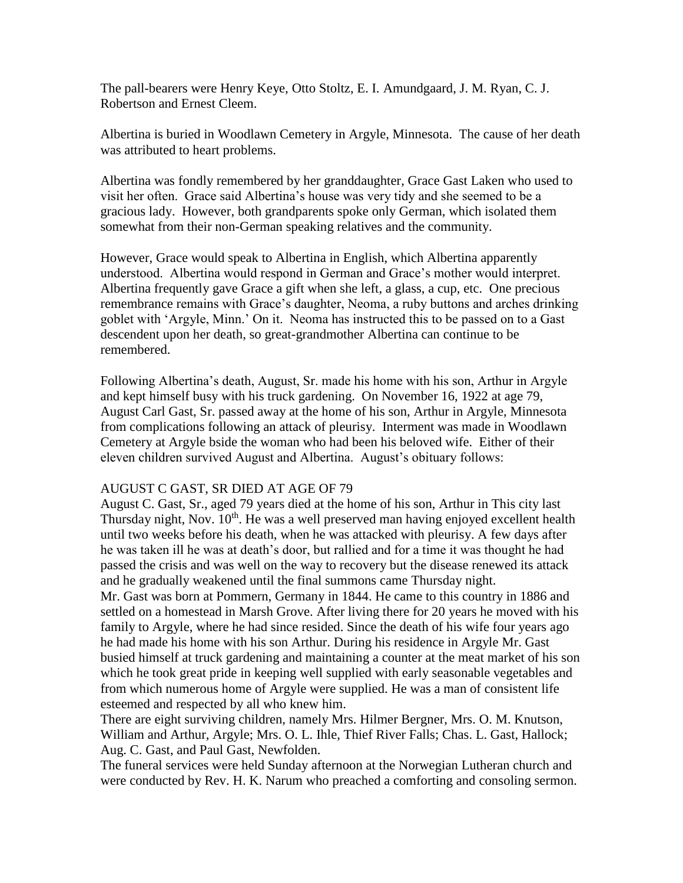The pall-bearers were Henry Keye, Otto Stoltz, E. I. Amundgaard, J. M. Ryan, C. J. Robertson and Ernest Cleem.

Albertina is buried in Woodlawn Cemetery in Argyle, Minnesota. The cause of her death was attributed to heart problems.

Albertina was fondly remembered by her granddaughter, Grace Gast Laken who used to visit her often. Grace said Albertina's house was very tidy and she seemed to be a gracious lady. However, both grandparents spoke only German, which isolated them somewhat from their non-German speaking relatives and the community.

However, Grace would speak to Albertina in English, which Albertina apparently understood. Albertina would respond in German and Grace's mother would interpret. Albertina frequently gave Grace a gift when she left, a glass, a cup, etc. One precious remembrance remains with Grace's daughter, Neoma, a ruby buttons and arches drinking goblet with 'Argyle, Minn.' On it. Neoma has instructed this to be passed on to a Gast descendent upon her death, so great-grandmother Albertina can continue to be remembered.

Following Albertina's death, August, Sr. made his home with his son, Arthur in Argyle and kept himself busy with his truck gardening. On November 16, 1922 at age 79, August Carl Gast, Sr. passed away at the home of his son, Arthur in Argyle, Minnesota from complications following an attack of pleurisy. Interment was made in Woodlawn Cemetery at Argyle bside the woman who had been his beloved wife. Either of their eleven children survived August and Albertina. August's obituary follows:

## AUGUST C GAST, SR DIED AT AGE OF 79

August C. Gast, Sr., aged 79 years died at the home of his son, Arthur in This city last Thursday night, Nov.  $10<sup>th</sup>$ . He was a well preserved man having enjoyed excellent health until two weeks before his death, when he was attacked with pleurisy. A few days after he was taken ill he was at death's door, but rallied and for a time it was thought he had passed the crisis and was well on the way to recovery but the disease renewed its attack and he gradually weakened until the final summons came Thursday night.

Mr. Gast was born at Pommern, Germany in 1844. He came to this country in 1886 and settled on a homestead in Marsh Grove. After living there for 20 years he moved with his family to Argyle, where he had since resided. Since the death of his wife four years ago he had made his home with his son Arthur. During his residence in Argyle Mr. Gast busied himself at truck gardening and maintaining a counter at the meat market of his son which he took great pride in keeping well supplied with early seasonable vegetables and from which numerous home of Argyle were supplied. He was a man of consistent life esteemed and respected by all who knew him.

There are eight surviving children, namely Mrs. Hilmer Bergner, Mrs. O. M. Knutson, William and Arthur, Argyle; Mrs. O. L. Ihle, Thief River Falls; Chas. L. Gast, Hallock; Aug. C. Gast, and Paul Gast, Newfolden.

The funeral services were held Sunday afternoon at the Norwegian Lutheran church and were conducted by Rev. H. K. Narum who preached a comforting and consoling sermon.